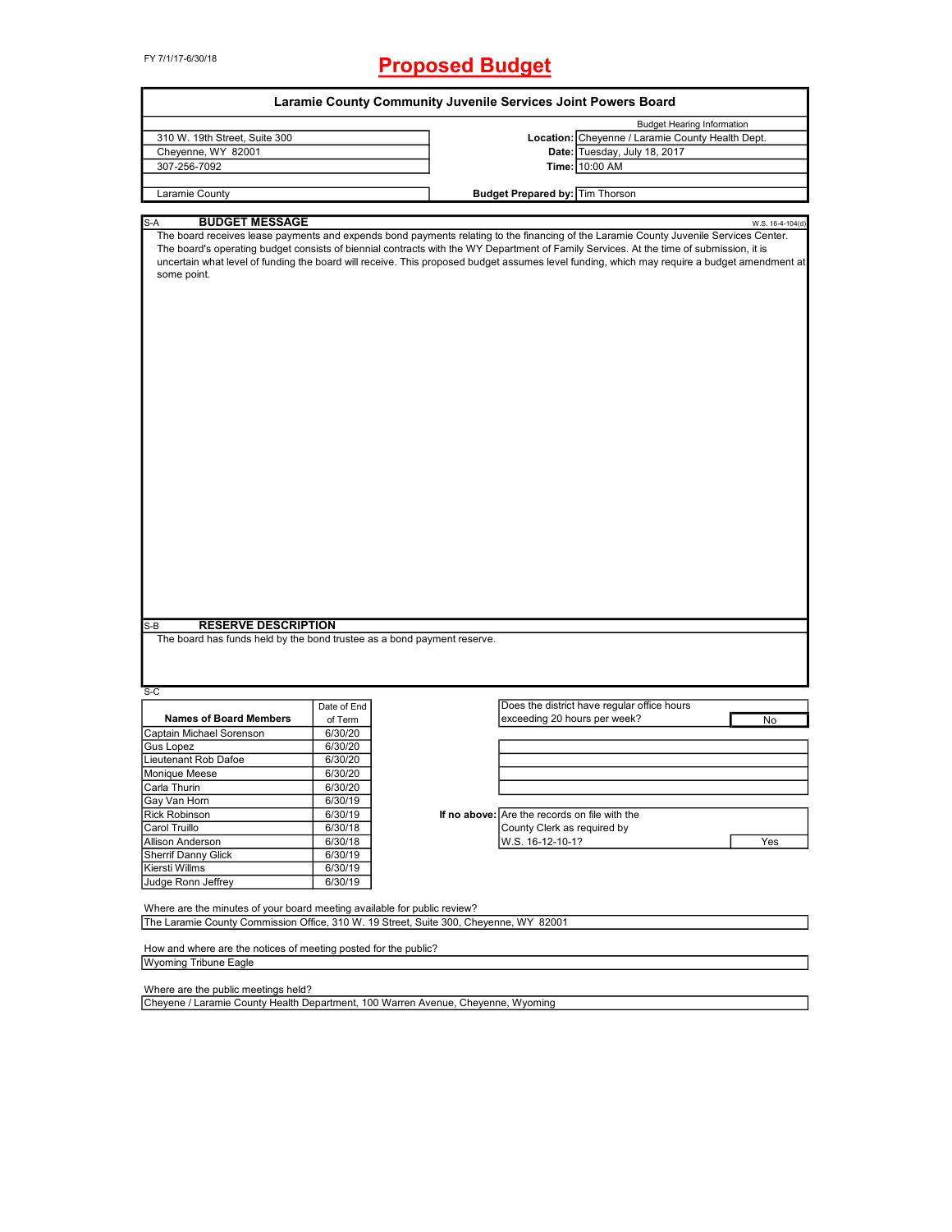FY 7/1/17-6/30/18

# **Proposed Budget**

|                                                                                                                                                                   |             | Laramie County Community Juvenile Services Joint Powers Board |                                               |                                                                                                                                                                                                                                                                                                                                                                                                                                 |
|-------------------------------------------------------------------------------------------------------------------------------------------------------------------|-------------|---------------------------------------------------------------|-----------------------------------------------|---------------------------------------------------------------------------------------------------------------------------------------------------------------------------------------------------------------------------------------------------------------------------------------------------------------------------------------------------------------------------------------------------------------------------------|
|                                                                                                                                                                   |             |                                                               |                                               | <b>Budget Hearing Information</b>                                                                                                                                                                                                                                                                                                                                                                                               |
| 310 W. 19th Street, Suite 300                                                                                                                                     |             |                                                               |                                               | Location: Cheyenne / Laramie County Health Dept.                                                                                                                                                                                                                                                                                                                                                                                |
| Cheyenne, WY 82001                                                                                                                                                |             |                                                               |                                               | Date: Tuesday, July 18, 2017                                                                                                                                                                                                                                                                                                                                                                                                    |
| 307-256-7092                                                                                                                                                      |             |                                                               |                                               | Time: 10:00 AM                                                                                                                                                                                                                                                                                                                                                                                                                  |
|                                                                                                                                                                   |             |                                                               |                                               |                                                                                                                                                                                                                                                                                                                                                                                                                                 |
| Laramie County                                                                                                                                                    |             |                                                               | <b>Budget Prepared by: Tim Thorson</b>        |                                                                                                                                                                                                                                                                                                                                                                                                                                 |
|                                                                                                                                                                   |             |                                                               |                                               |                                                                                                                                                                                                                                                                                                                                                                                                                                 |
| <b>BUDGET MESSAGE</b><br>S-A                                                                                                                                      |             |                                                               |                                               | W.S. 16-4-104(d)                                                                                                                                                                                                                                                                                                                                                                                                                |
| some point.                                                                                                                                                       |             |                                                               |                                               | The board receives lease payments and expends bond payments relating to the financing of the Laramie County Juvenile Services Center.<br>The board's operating budget consists of biennial contracts with the WY Department of Family Services. At the time of submission, it is<br>uncertain what level of funding the board will receive. This proposed budget assumes level funding, which may require a budget amendment at |
| <b>RESERVE DESCRIPTION</b><br>$S-B$<br>The board has funds held by the bond trustee as a bond payment reserve.                                                    |             |                                                               |                                               |                                                                                                                                                                                                                                                                                                                                                                                                                                 |
|                                                                                                                                                                   |             |                                                               |                                               |                                                                                                                                                                                                                                                                                                                                                                                                                                 |
| $S-C$                                                                                                                                                             |             |                                                               |                                               |                                                                                                                                                                                                                                                                                                                                                                                                                                 |
|                                                                                                                                                                   | Date of End |                                                               |                                               | Does the district have regular office hours                                                                                                                                                                                                                                                                                                                                                                                     |
| <b>Names of Board Members</b>                                                                                                                                     | of Term     |                                                               | exceeding 20 hours per week?                  | No                                                                                                                                                                                                                                                                                                                                                                                                                              |
| Captain Michael Sorenson                                                                                                                                          | 6/30/20     |                                                               |                                               |                                                                                                                                                                                                                                                                                                                                                                                                                                 |
| <b>Gus Lopez</b>                                                                                                                                                  | 6/30/20     |                                                               |                                               |                                                                                                                                                                                                                                                                                                                                                                                                                                 |
| Lieutenant Rob Dafoe                                                                                                                                              | 6/30/20     |                                                               |                                               |                                                                                                                                                                                                                                                                                                                                                                                                                                 |
| Monique Meese                                                                                                                                                     | 6/30/20     |                                                               |                                               |                                                                                                                                                                                                                                                                                                                                                                                                                                 |
| Carla Thurin                                                                                                                                                      | 6/30/20     |                                                               |                                               |                                                                                                                                                                                                                                                                                                                                                                                                                                 |
| Gay Van Horn                                                                                                                                                      | 6/30/19     |                                                               |                                               |                                                                                                                                                                                                                                                                                                                                                                                                                                 |
|                                                                                                                                                                   |             |                                                               | If no above: Are the records on file with the |                                                                                                                                                                                                                                                                                                                                                                                                                                 |
| <b>Rick Robinson</b>                                                                                                                                              | 6/30/19     |                                                               |                                               |                                                                                                                                                                                                                                                                                                                                                                                                                                 |
| Carol Truillo                                                                                                                                                     | 6/30/18     |                                                               | County Clerk as required by                   |                                                                                                                                                                                                                                                                                                                                                                                                                                 |
| <b>Allison Anderson</b>                                                                                                                                           | 6/30/18     |                                                               | W.S. 16-12-10-1?                              | Yes                                                                                                                                                                                                                                                                                                                                                                                                                             |
| <b>Sherrif Danny Glick</b>                                                                                                                                        | 6/30/19     |                                                               |                                               |                                                                                                                                                                                                                                                                                                                                                                                                                                 |
| Kiersti Willms                                                                                                                                                    | 6/30/19     |                                                               |                                               |                                                                                                                                                                                                                                                                                                                                                                                                                                 |
| Judge Ronn Jeffrey                                                                                                                                                | 6/30/19     |                                                               |                                               |                                                                                                                                                                                                                                                                                                                                                                                                                                 |
| Where are the minutes of your board meeting available for public review?<br>The Laramie County Commission Office, 310 W. 19 Street, Suite 300, Cheyenne, WY 82001 |             |                                                               |                                               |                                                                                                                                                                                                                                                                                                                                                                                                                                 |
|                                                                                                                                                                   |             |                                                               |                                               |                                                                                                                                                                                                                                                                                                                                                                                                                                 |
| How and where are the notices of meeting posted for the public?<br><b>Wyoming Tribune Eagle</b>                                                                   |             |                                                               |                                               |                                                                                                                                                                                                                                                                                                                                                                                                                                 |
|                                                                                                                                                                   |             |                                                               |                                               |                                                                                                                                                                                                                                                                                                                                                                                                                                 |
| Where are the public meetings held?<br>Cheyene / Laramie County Health Department, 100 Warren Avenue, Cheyenne, Wyoming                                           |             |                                                               |                                               |                                                                                                                                                                                                                                                                                                                                                                                                                                 |
|                                                                                                                                                                   |             |                                                               |                                               |                                                                                                                                                                                                                                                                                                                                                                                                                                 |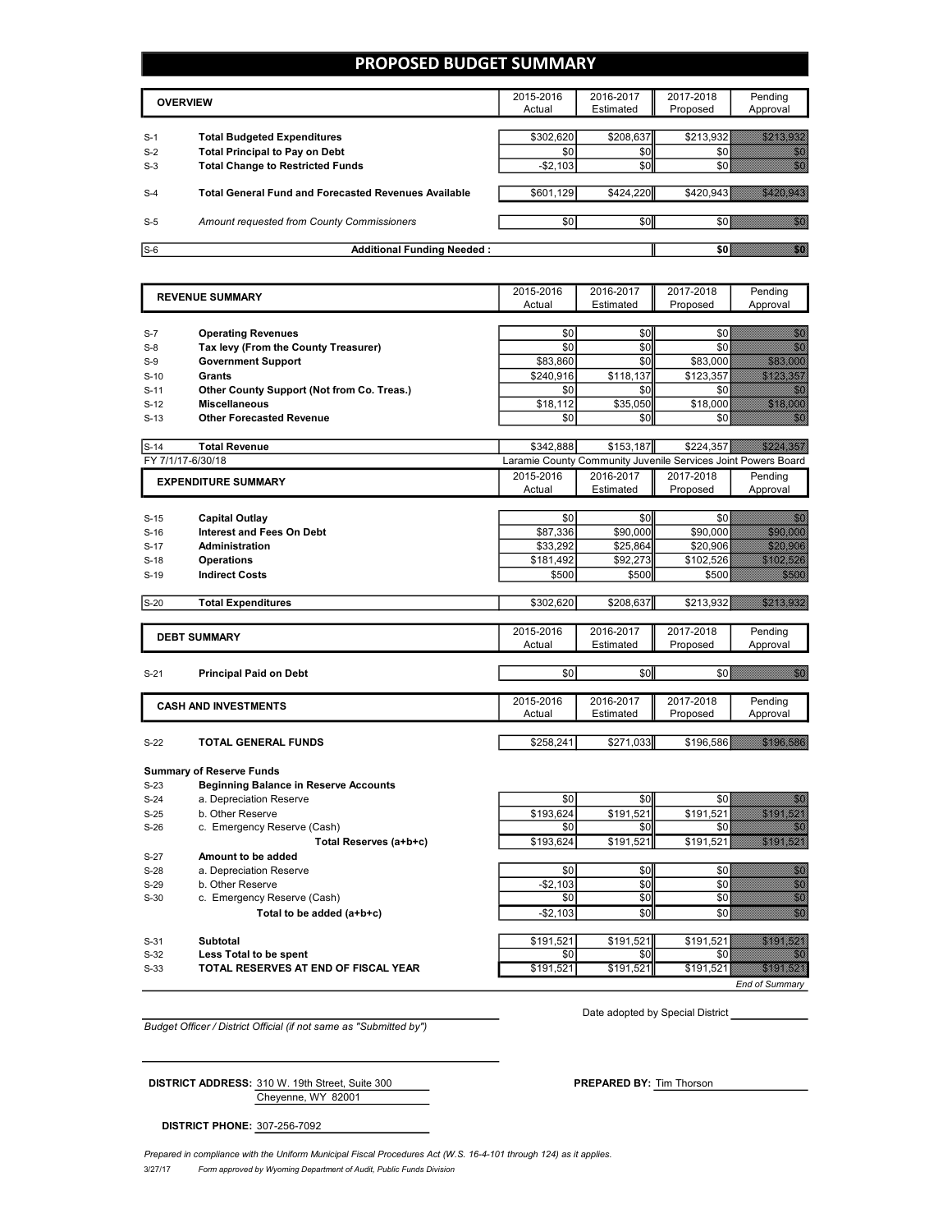### **PROPOSED BUDGET SUMMARY**

|                | <b>OVERVIEW</b>                                                             | 2015-2016<br>Actual | 2016-2017<br>Estimated | 2017-2018<br>Proposed | Pendina<br>Approval |
|----------------|-----------------------------------------------------------------------------|---------------------|------------------------|-----------------------|---------------------|
|                |                                                                             | \$302,620           | \$208,637              | \$213,932             |                     |
| $S-1$<br>$S-2$ | <b>Total Budgeted Expenditures</b><br><b>Total Principal to Pay on Debt</b> | \$0                 | \$0                    |                       |                     |
| $S-3$          | <b>Total Change to Restricted Funds</b>                                     | $-$ \$2,103         | \$0                    |                       |                     |
| $S-4$          | <b>Total General Fund and Forecasted Revenues Available</b>                 | \$601,129           | \$424,220              | \$420,943             |                     |
| $S-5$          | Amount requested from County Commissioners                                  | \$0                 | \$0                    |                       |                     |
| $S-6$          | <b>Additional Funding Needed:</b>                                           |                     |                        | SO I                  |                     |

|                  | <b>REVENUE SUMMARY</b>                                    | 2015-2016            | 2016-2017 | 2017-2018                                                     | Pending                                                                                                                                                                                                                          |
|------------------|-----------------------------------------------------------|----------------------|-----------|---------------------------------------------------------------|----------------------------------------------------------------------------------------------------------------------------------------------------------------------------------------------------------------------------------|
|                  |                                                           | Actual               | Estimated | Proposed                                                      | Approval                                                                                                                                                                                                                         |
|                  |                                                           |                      |           |                                                               |                                                                                                                                                                                                                                  |
| $S-7$            | <b>Operating Revenues</b>                                 | \$0                  | \$0       | \$0                                                           | 88                                                                                                                                                                                                                               |
| $S-8$            | Tax levy (From the County Treasurer)                      | \$0                  | \$0       | \$0                                                           | <u>i Kil</u>                                                                                                                                                                                                                     |
| $S-9$            | <b>Government Support</b>                                 | \$83,860             | \$0       | \$83,000                                                      | 383399                                                                                                                                                                                                                           |
| $S-10$           | Grants                                                    | \$240,916            | \$118,137 | \$123,357                                                     | a a bhliain an chuid an chuid an chuid an chuid an chuid an chuid an chuid an chuid an chuid an chuid an chuid                                                                                                                   |
| $S-11$           | Other County Support (Not from Co. Treas.)                | \$0                  | \$0       | \$0                                                           | enne<br>1999                                                                                                                                                                                                                     |
| $S-12$           | <b>Miscellaneous</b>                                      | \$18,112             | \$35,050  | \$18,000                                                      |                                                                                                                                                                                                                                  |
| $S-13$           | <b>Other Forecasted Revenue</b>                           | \$0                  | \$0       | \$0                                                           | 86                                                                                                                                                                                                                               |
|                  |                                                           |                      |           |                                                               |                                                                                                                                                                                                                                  |
| $S-14$           | <b>Total Revenue</b>                                      | \$342,888            | \$153,187 | \$224,357                                                     | <u> Karl Karl Karl</u>                                                                                                                                                                                                           |
|                  | FY 7/1/17-6/30/18                                         |                      |           | Laramie County Community Juvenile Services Joint Powers Board |                                                                                                                                                                                                                                  |
|                  | <b>EXPENDITURE SUMMARY</b>                                | 2015-2016            | 2016-2017 | 2017-2018                                                     | Pending                                                                                                                                                                                                                          |
|                  |                                                           | Actual               | Estimated | Proposed                                                      | Approval                                                                                                                                                                                                                         |
|                  |                                                           | \$0                  | \$0       | \$0                                                           | 73                                                                                                                                                                                                                               |
| $S-15$           | <b>Capital Outlay</b>                                     |                      | \$90,000  |                                                               | <b>33848886</b>                                                                                                                                                                                                                  |
| $S-16$           | <b>Interest and Fees On Debt</b><br><b>Administration</b> | \$87,336<br>\$33,292 | \$25,864  | \$90,000<br>\$20,906                                          | <b>1999 - 1999 - 1999</b>                                                                                                                                                                                                        |
| $S-17$<br>$S-18$ | <b>Operations</b>                                         | \$181,492            | \$92,273  | \$102,526                                                     | <u> Kisteration</u>                                                                                                                                                                                                              |
|                  |                                                           |                      |           |                                                               |                                                                                                                                                                                                                                  |
| $S-19$           | <b>Indirect Costs</b>                                     | \$500                | \$500     | \$500                                                         | 333                                                                                                                                                                                                                              |
| $S-20$           | <b>Total Expenditures</b>                                 | \$302,620            | \$208,637 | \$213,932                                                     | <u>SIMBO SIMBO S</u>                                                                                                                                                                                                             |
|                  |                                                           |                      |           |                                                               |                                                                                                                                                                                                                                  |
|                  | <b>DEBT SUMMARY</b>                                       | 2015-2016            | 2016-2017 | 2017-2018                                                     | Pending                                                                                                                                                                                                                          |
|                  |                                                           | Actual               | Estimated | Proposed                                                      | Approval                                                                                                                                                                                                                         |
|                  |                                                           |                      |           |                                                               |                                                                                                                                                                                                                                  |
| $S-21$           | <b>Principal Paid on Debt</b>                             | \$0                  | \$0       | \$0                                                           | en el compositor de la compositor de la compositor de la compositor de la compositor de la compositor de la co<br>Compositor de la compositor de la compositor de la compositor de la compositor de la compositor de la composit |
|                  |                                                           | 2015-2016            | 2016-2017 | 2017-2018                                                     | Pending                                                                                                                                                                                                                          |
|                  | <b>CASH AND INVESTMENTS</b>                               | Actual               | Estimated | Proposed                                                      | Approval                                                                                                                                                                                                                         |
|                  |                                                           |                      |           |                                                               |                                                                                                                                                                                                                                  |
| $S-22$           | TOTAL GENERAL FUNDS                                       | \$258,241            | \$271,033 | \$196,586                                                     | 3838.583                                                                                                                                                                                                                         |
|                  |                                                           |                      |           |                                                               |                                                                                                                                                                                                                                  |
|                  | <b>Summary of Reserve Funds</b>                           |                      |           |                                                               |                                                                                                                                                                                                                                  |
| $S-23$           | <b>Beginning Balance in Reserve Accounts</b>              |                      |           |                                                               |                                                                                                                                                                                                                                  |
| $S-24$           | a. Depreciation Reserve                                   | \$0                  | \$0       | \$0                                                           | en el control.<br>Marco                                                                                                                                                                                                          |
| $S-25$           | b. Other Reserve                                          | \$193,624            | \$191,521 | \$191,521                                                     | <u> Startin Blitz</u>                                                                                                                                                                                                            |
| $S-26$           | c. Emergency Reserve (Cash)                               | \$0                  | \$0       | \$0                                                           | e e c                                                                                                                                                                                                                            |
|                  | Total Reserves (a+b+c)                                    | \$193.624            | \$191.521 | \$191,521                                                     | SASA ITALA                                                                                                                                                                                                                       |
| $S-27$           | Amount to be added                                        |                      |           |                                                               |                                                                                                                                                                                                                                  |
| $S-28$           | a. Depreciation Reserve                                   | \$0                  | \$0       | \$0                                                           | en el compositor de la compositor de la compositor de la compositor de la compositor de la compositor de la co<br>Compositor de la compositor de la compositor de la compositor de la compositor de la compositor de la composit |
| $S-29$           | b. Other Reserve                                          | $-$2,103$            | \$0       | \$0                                                           | en de la filosofia<br>Balderia                                                                                                                                                                                                   |
| $S-30$           | c. Emergency Reserve (Cash)                               | \$0                  | \$0       | \$0                                                           | en en de la familie de la familie de la familie de la familie de la familie de la familie de la familie de la<br>Traduzione de la familie de la familie de la familie de la familie de la familie de la familie de la familie d  |
|                  | Total to be added (a+b+c)                                 | $-$2,103$            | \$0       | \$0                                                           | en eller<br>Till Sta                                                                                                                                                                                                             |
|                  |                                                           |                      |           |                                                               |                                                                                                                                                                                                                                  |
| $S-31$           | Subtotal                                                  | \$191.521            | \$191.521 | \$191.521                                                     | <u> Sidon Bili</u>                                                                                                                                                                                                               |
| $S-32$           | <b>Less Total to be spent</b>                             | \$0                  | \$0       | \$0 E                                                         | e e control.<br>Control                                                                                                                                                                                                          |

S-33 **TOTAL RESERVES AT END OF FISCAL YEAR** \$191,521 \$191,521 \$191,521 \$191,521

*Budget Officer / District Official (if not same as "Submitted by")*

Date adopted by Special District

*End of Summary*

Cheyenne, WY 82001 **DISTRICT ADDRESS:** 310 W. 19th Street, Suite 300 **PREPARED BY:** Tim Thorson

**DISTRICT PHONE:** 307-256-7092

Prepared in compliance with the Uniform Municipal Fiscal Procedures Act (W.S. 16-4-101 through 124) as it applies.

3/27/17 *Form approved by Wyoming Department of Audit, Public Funds Division*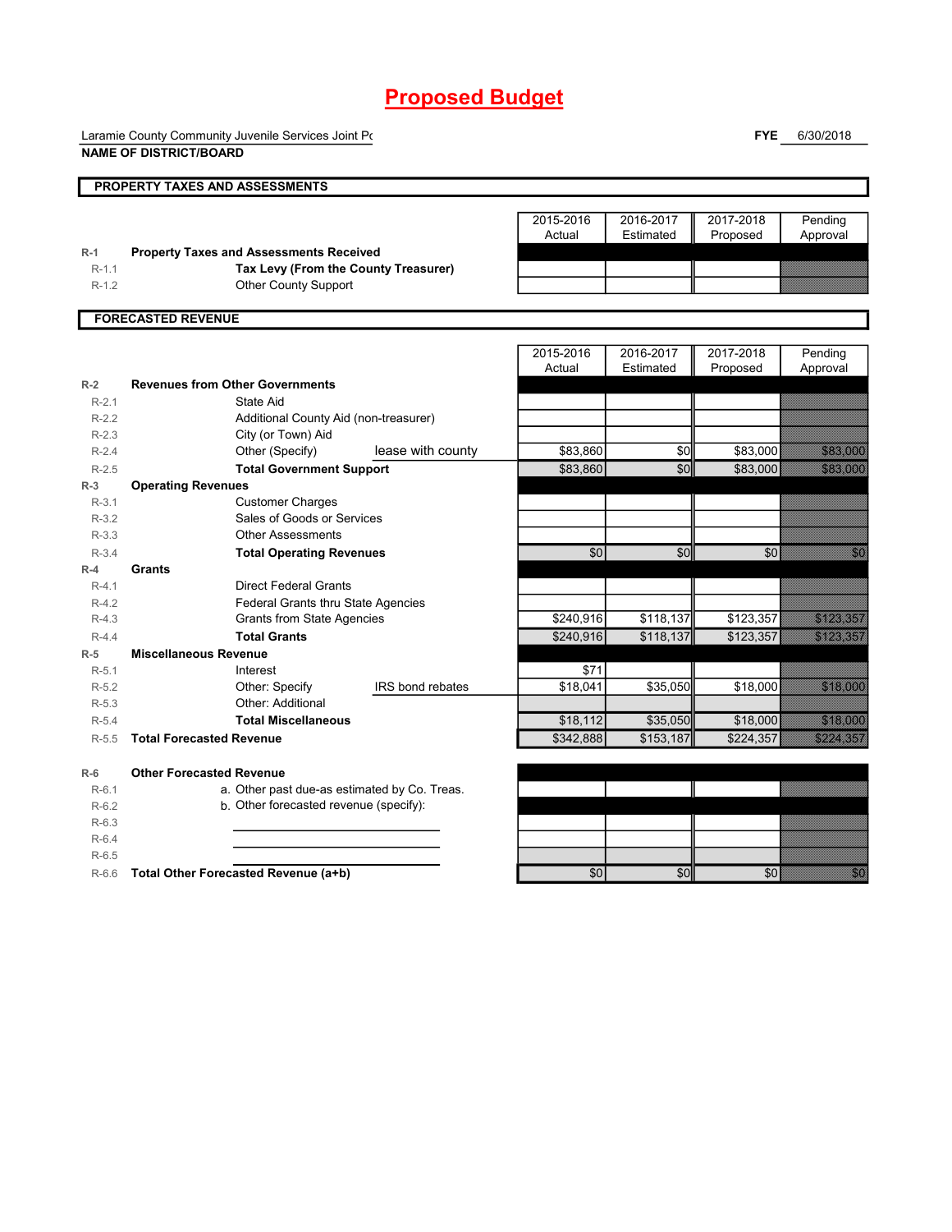Laramie County Community Juvenile Services Joint Power

**FYE** 6/30/2018

|         | <b>NAME OF DISTRICT/BOARD</b>                  |                         |                     |                        |                       |                      |
|---------|------------------------------------------------|-------------------------|---------------------|------------------------|-----------------------|----------------------|
|         | PROPERTY TAXES AND ASSESSMENTS                 |                         |                     |                        |                       |                      |
|         |                                                |                         | 2015-2016<br>Actual | 2016-2017<br>Estimated | 2017-2018<br>Proposed | Pending<br>Approval  |
| $R-1$   | <b>Property Taxes and Assessments Received</b> |                         |                     |                        |                       |                      |
| $R-1.1$ | Tax Levy (From the County Treasurer)           |                         |                     |                        |                       |                      |
| $R-1.2$ | Other County Support                           |                         |                     |                        |                       |                      |
|         | <b>FORECASTED REVENUE</b>                      |                         |                     |                        |                       |                      |
|         |                                                |                         | 2015-2016           | 2016-2017              | 2017-2018             | Pending              |
|         |                                                |                         | Actual              | Estimated              | Proposed              | Approval             |
| $R-2$   | <b>Revenues from Other Governments</b>         |                         |                     |                        |                       |                      |
| $R-2.1$ | <b>State Aid</b>                               |                         |                     |                        |                       |                      |
| $R-2.2$ | Additional County Aid (non-treasurer)          |                         |                     |                        |                       |                      |
| $R-2.3$ | City (or Town) Aid                             |                         |                     |                        |                       |                      |
| $R-2.4$ | Other (Specify)                                | lease with county       | \$83,860            | \$0                    | \$83,000              | 33. 33. 33           |
| $R-2.5$ | <b>Total Government Support</b>                |                         | \$83,860            | \$0                    | \$83,000              | 33.338               |
| $R-3$   | <b>Operating Revenues</b>                      |                         |                     |                        |                       |                      |
| $R-3.1$ | <b>Customer Charges</b>                        |                         |                     |                        |                       |                      |
| $R-3.2$ | Sales of Goods or Services                     |                         |                     |                        |                       |                      |
| $R-3.3$ | <b>Other Assessments</b>                       |                         |                     |                        |                       |                      |
| $R-3.4$ | <b>Total Operating Revenues</b>                |                         | \$0                 | \$0                    | \$0                   | an an                |
| $R-4$   | Grants                                         |                         |                     |                        |                       |                      |
| $R-4.1$ | <b>Direct Federal Grants</b>                   |                         |                     |                        |                       |                      |
| $R-4.2$ | Federal Grants thru State Agencies             |                         |                     |                        |                       |                      |
| $R-4.3$ | <b>Grants from State Agencies</b>              |                         | \$240,916           | \$118,137              | \$123,357             | <b>BALLET BERG</b>   |
| $R-4.4$ | <b>Total Grants</b>                            |                         | \$240,916           | \$118,137              | \$123,357             | <b>BALLET BERG</b>   |
| $R-5$   | <b>Miscellaneous Revenue</b>                   |                         |                     |                        |                       |                      |
| $R-5.1$ | Interest                                       |                         | \$71                |                        |                       |                      |
| $R-5.2$ | Other: Specify                                 | <b>IRS</b> bond rebates | \$18,041            | \$35,050               | \$18,000              |                      |
| $R-5.3$ | Other: Additional                              |                         |                     |                        |                       |                      |
| $R-5.4$ | <b>Total Miscellaneous</b>                     |                         | \$18,112            | \$35,050               | \$18,000              | <u>Szering</u>       |
| $R-5.5$ | <b>Total Forecasted Revenue</b>                |                         | \$342,888           | \$153,187              | \$224,357             | <u> Kalendari Sa</u> |
| $R-6$   | <b>Other Forecasted Revenue</b>                |                         |                     |                        |                       |                      |
| $R-6.1$ | a. Other past due-as estimated by Co. Treas.   |                         |                     |                        |                       |                      |
| $R-6.2$ | b. Other forecasted revenue (specify):         |                         |                     |                        |                       |                      |
| $R-6.3$ |                                                |                         |                     |                        |                       |                      |
| $R-6.4$ |                                                |                         |                     |                        |                       |                      |
| $R-6.5$ |                                                |                         |                     |                        |                       |                      |
| $R-6.6$ | Total Other Forecasted Revenue (a+b)           |                         | \$0                 | \$0                    | \$0                   |                      |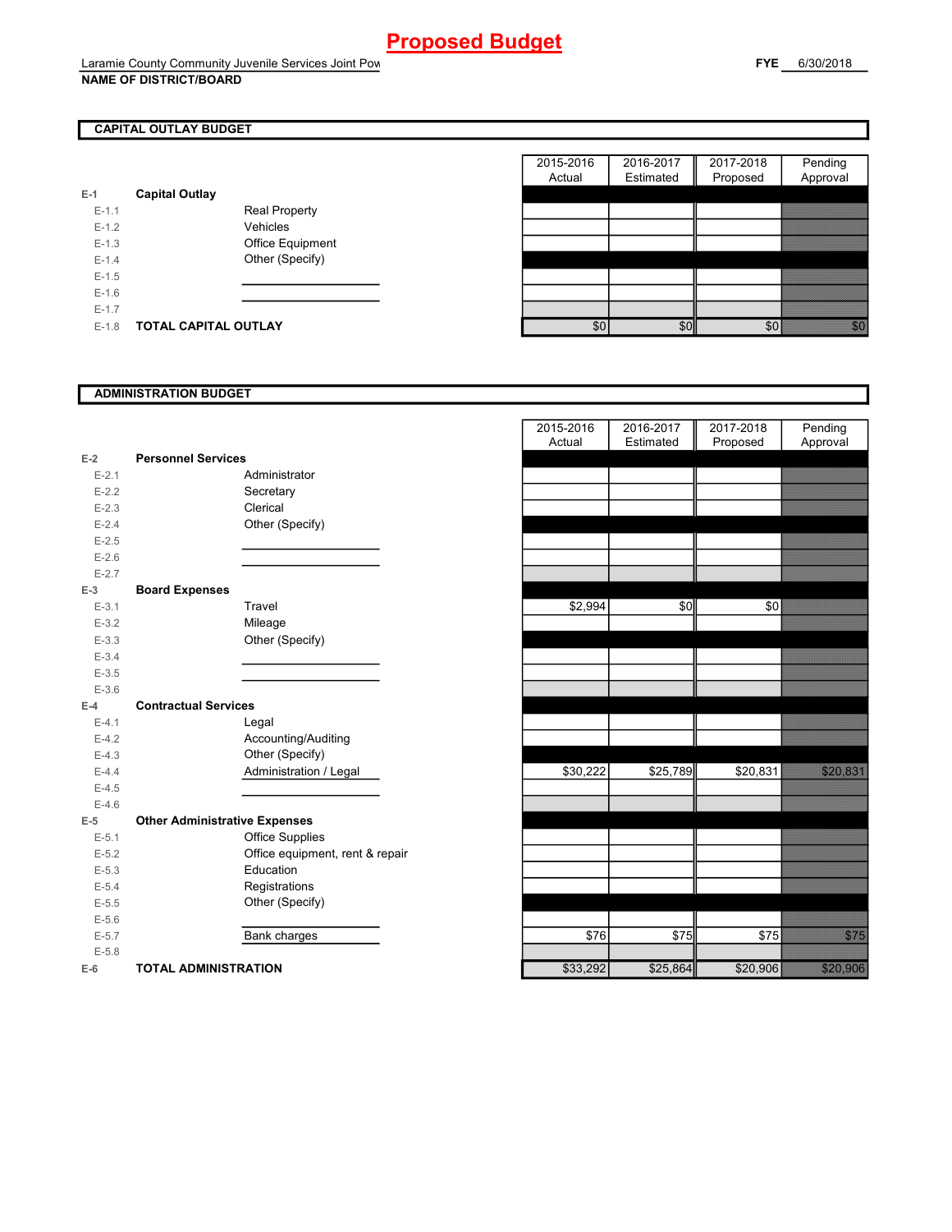## **CAPITAL OUTLAY BUDGET**

| $E-1$     | <b>Capital Outlay</b> |                         |
|-----------|-----------------------|-------------------------|
| $E - 1.1$ |                       | <b>Real Property</b>    |
| $F-12$    |                       | Vehicles                |
| $F-1.3$   |                       | <b>Office Equipment</b> |
| $F-14$    |                       | Other (Specify)         |
| $F-1.5$   |                       |                         |
| $F-16$    |                       |                         |
| $F-17$    |                       |                         |
| $F-1.8$   | TOTAL CAPITAL OUTLAY  |                         |

|         |                       |                      | 2015-2016 | 2016-2017 | 2017-2018 | Pending                                                                                                                   |
|---------|-----------------------|----------------------|-----------|-----------|-----------|---------------------------------------------------------------------------------------------------------------------------|
|         |                       |                      | Actual    | Estimated | Proposed  | Approval                                                                                                                  |
|         | <b>Capital Outlay</b> |                      |           |           |           |                                                                                                                           |
| $E-1.1$ |                       | <b>Real Property</b> |           |           |           |                                                                                                                           |
| $E-1.2$ |                       | Vehicles             |           |           |           |                                                                                                                           |
| $E-1.3$ |                       | Office Equipment     |           |           |           |                                                                                                                           |
| $E-1.4$ |                       | Other (Specify)      |           |           |           |                                                                                                                           |
| $E-1.5$ |                       |                      |           |           |           |                                                                                                                           |
| $E-1.6$ |                       |                      |           |           |           |                                                                                                                           |
| $E-1.7$ |                       |                      |           |           |           |                                                                                                                           |
| $E-1.8$ | TOTAL CAPITAL OUTLAY  |                      | \$0       | \$0       | \$0       | en de la familie de la familie de la familie de la familie de la familie de la familie de la familie de la fa<br>Espainia |

### **ADMINISTRATION BUDGET**

|           |                                      |                                 | Auuai    | Estimated | <b>FIUPUSEU</b> |
|-----------|--------------------------------------|---------------------------------|----------|-----------|-----------------|
| $E-2$     | <b>Personnel Services</b>            |                                 |          |           |                 |
| $E - 2.1$ |                                      | Administrator                   |          |           |                 |
| $E - 2.2$ |                                      | Secretary                       |          |           |                 |
| $E - 2.3$ |                                      | Clerical                        |          |           |                 |
| $E - 2.4$ |                                      | Other (Specify)                 |          |           |                 |
| $E - 2.5$ |                                      |                                 |          |           |                 |
| $E-2.6$   |                                      |                                 |          |           |                 |
| $E - 2.7$ |                                      |                                 |          |           |                 |
| $E-3$     | <b>Board Expenses</b>                |                                 |          |           |                 |
| $E-3.1$   |                                      | Travel                          | \$2,994  | \$0       | \$0             |
| $E - 3.2$ |                                      | Mileage                         |          |           |                 |
| $E - 3.3$ |                                      | Other (Specify)                 |          |           |                 |
| $E - 3.4$ |                                      |                                 |          |           |                 |
| $E - 3.5$ |                                      |                                 |          |           |                 |
| $E - 3.6$ |                                      |                                 |          |           |                 |
| $E-4$     | <b>Contractual Services</b>          |                                 |          |           |                 |
| $E - 4.1$ |                                      | Legal                           |          |           |                 |
| $E-4.2$   |                                      | Accounting/Auditing             |          |           |                 |
| $E-4.3$   |                                      | Other (Specify)                 |          |           |                 |
| $E-4.4$   |                                      | Administration / Legal          | \$30,222 | \$25,789  | \$20,831        |
| $E-4.5$   |                                      |                                 |          |           |                 |
| $E-4.6$   |                                      |                                 |          |           |                 |
| $E-5$     | <b>Other Administrative Expenses</b> |                                 |          |           |                 |
| $E - 5.1$ |                                      | <b>Office Supplies</b>          |          |           |                 |
| $E - 5.2$ |                                      | Office equipment, rent & repair |          |           |                 |
| $E - 5.3$ |                                      | Education                       |          |           |                 |
| $E - 5.4$ |                                      | Registrations                   |          |           |                 |
| $E - 5.5$ |                                      | Other (Specify)                 |          |           |                 |
| $E-5.6$   |                                      |                                 |          |           |                 |
| $E - 5.7$ |                                      | Bank charges                    | \$76     | \$75      | \$75            |
| $E - 5.8$ |                                      |                                 |          |           |                 |
| $E-6$     | <b>TOTAL ADMINISTRATION</b>          |                                 | \$33,292 | \$25,864  | \$20,906        |
|           |                                      |                                 |          |           |                 |

|           |                                      |                                 | 2015-2016 | 2016-2017    | 2017-2018 | Pending                       |
|-----------|--------------------------------------|---------------------------------|-----------|--------------|-----------|-------------------------------|
|           |                                      |                                 | Actual    | Estimated    | Proposed  | Approval                      |
| $E-2$     | <b>Personnel Services</b>            |                                 |           |              |           |                               |
| $E - 2.1$ |                                      | Administrator                   |           |              |           |                               |
| $E - 2.2$ |                                      | Secretary                       |           |              |           |                               |
| $E - 2.3$ |                                      | Clerical                        |           |              |           |                               |
| $E - 2.4$ |                                      | Other (Specify)                 |           |              |           |                               |
| $E-2.5$   |                                      |                                 |           |              |           |                               |
| $E-2.6$   |                                      |                                 |           |              |           |                               |
| $E - 2.7$ |                                      |                                 |           |              |           |                               |
| $E-3$     | <b>Board Expenses</b>                |                                 |           |              |           |                               |
| $E-3.1$   |                                      | Travel                          | \$2,994   | \$0          | \$0       |                               |
| $E - 3.2$ |                                      | Mileage                         |           |              |           |                               |
| $E-3.3$   |                                      | Other (Specify)                 |           |              |           |                               |
| $E-3.4$   |                                      |                                 |           |              |           |                               |
| $E - 3.5$ |                                      |                                 |           |              |           |                               |
| $E - 3.6$ |                                      |                                 |           |              |           |                               |
| $E-4$     | <b>Contractual Services</b>          |                                 |           |              |           |                               |
| $E - 4.1$ |                                      | Legal                           |           |              |           |                               |
| $E-4.2$   |                                      | Accounting/Auditing             |           |              |           |                               |
| $E - 4.3$ |                                      | Other (Specify)                 |           |              |           |                               |
| $E-4.4$   |                                      | Administration / Legal          | \$30,222  | \$25,789     | \$20,831  |                               |
| $E-4.5$   |                                      |                                 |           |              |           |                               |
| $E-4.6$   |                                      |                                 |           |              |           |                               |
| $E-5$     | <b>Other Administrative Expenses</b> |                                 |           |              |           |                               |
| $E-5.1$   |                                      | <b>Office Supplies</b>          |           |              |           |                               |
| $E - 5.2$ |                                      | Office equipment, rent & repair |           |              |           |                               |
| $E-5.3$   |                                      | Education                       |           |              |           |                               |
| $E-5.4$   |                                      | Registrations                   |           |              |           |                               |
| $E-5.5$   |                                      | Other (Specify)                 |           |              |           |                               |
| $E - 5.6$ |                                      |                                 |           |              |           |                               |
| $E - 5.7$ |                                      | Bank charges                    | \$76      | $\sqrt{$75}$ | \$75      | en de la filosofia<br>Albania |
| $E - 5.8$ |                                      |                                 |           |              |           |                               |
| $E-6$     | <b>TOTAL ADMINISTRATION</b>          |                                 | \$33,292  | \$25,864     | \$20,906  | 528 336                       |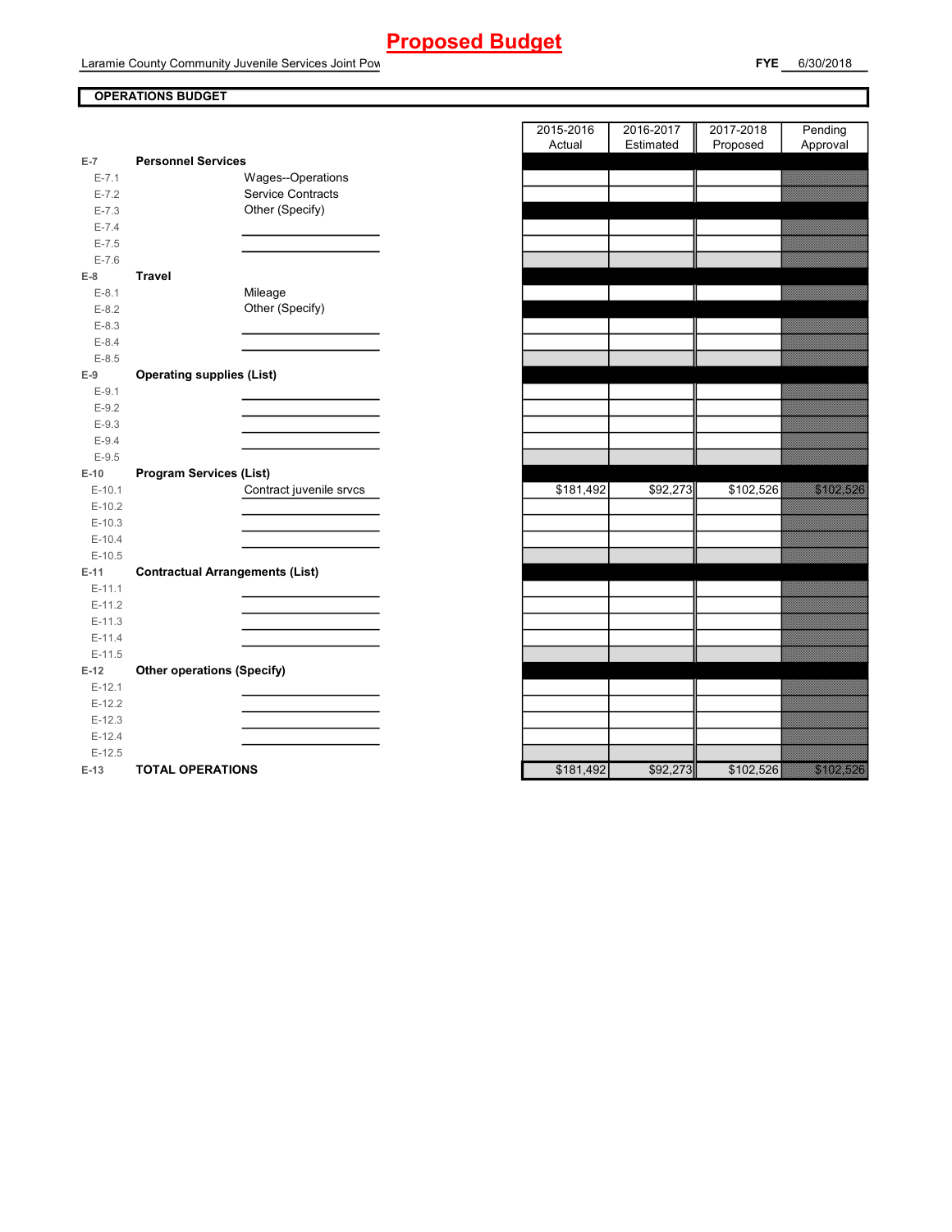Laramie County Community Juvenile Services Joint Pow

### **OPERATIONS BUDGET**

| $E-7$                | <b>Personnel Services</b>              |
|----------------------|----------------------------------------|
| $E - 7.1$            | Wages--Operations                      |
| $E - 7.2$            | Service Contracts                      |
| $E - 7.3$            | Other (Specify)                        |
| $E - 7.4$            |                                        |
| $E - 7.5$            |                                        |
| $E - 7.6$            |                                        |
| $E-8$                | <b>Travel</b>                          |
| $E-8.1$              | Mileage                                |
| $E-8.2$              | Other (Specify)                        |
| $E - 8.3$            |                                        |
| $E - 8.4$            |                                        |
| $E - 8.5$            |                                        |
| $E-9$                | <b>Operating supplies (List)</b>       |
| $E-9.1$              |                                        |
| $E-9.2$              |                                        |
| $E-9.3$              |                                        |
| $E-9.4$              |                                        |
| $E-9.5$              |                                        |
| $E-10$               | <b>Program Services (List)</b>         |
| $E-10.1$<br>$E-10.2$ | Contract juvenile srvcs                |
| $E-10.3$             |                                        |
| $E-10.4$             |                                        |
| $E-10.5$             |                                        |
| $E-11$               | <b>Contractual Arrangements (List)</b> |
| $E-11.1$             |                                        |
| $E-11.2$             |                                        |
| $E-11.3$             |                                        |
| $E-11.4$             |                                        |
| $E-11.5$             |                                        |
| $E-12$               | <b>Other operations (Specify)</b>      |
| $E-12.1$             |                                        |
| $E-12.2$             |                                        |
| $E-12.3$             |                                        |
| $E-12.4$             |                                        |
| $E-12.5$             |                                        |
| $E-13$               | <b>TOTAL OPERATIONS</b>                |

|                        |                                        | 2015-2016 | 2016-2017 | 2017-2018 | Pending                                                                                                                   |
|------------------------|----------------------------------------|-----------|-----------|-----------|---------------------------------------------------------------------------------------------------------------------------|
|                        |                                        | Actual    | Estimated | Proposed  | Approval                                                                                                                  |
| $\overline{7}$         | <b>Personnel Services</b>              |           |           |           | <u> Chamainn Chanainn an C</u>                                                                                            |
| $E - 7.1$<br>$E - 7.2$ | Wages--Operations<br>Service Contracts |           |           |           | <u>Mahalilika ku</u>                                                                                                      |
| $E - 7.3$              | Other (Specify)                        |           |           |           |                                                                                                                           |
| $E - 7.4$              |                                        |           |           |           |                                                                                                                           |
| $E - 7.5$              |                                        |           |           |           |                                                                                                                           |
| $E - 7.6$              |                                        |           |           |           |                                                                                                                           |
| 8                      | <b>Travel</b>                          |           |           |           |                                                                                                                           |
| $E-8.1$                | Mileage                                |           |           |           | <u> Elizabeth Charles (Charles Charles Charles Charles Charles Charles Charles Charles Charles Charles Charles Ch</u>     |
| $E-8.2$                | Other (Specify)                        |           |           |           |                                                                                                                           |
| $E - 8.3$              |                                        |           |           |           |                                                                                                                           |
| $E - 8.4$              |                                        |           |           |           |                                                                                                                           |
| $E - 8.5$              |                                        |           |           |           |                                                                                                                           |
| 9                      | <b>Operating supplies (List)</b>       |           |           |           |                                                                                                                           |
| $E-9.1$                |                                        |           |           |           |                                                                                                                           |
| $E-9.2$                |                                        |           |           |           |                                                                                                                           |
| $E-9.3$                |                                        |           |           |           |                                                                                                                           |
| $E - 9.4$              |                                        |           |           |           |                                                                                                                           |
| $E-9.5$                |                                        |           |           |           |                                                                                                                           |
| 10                     | <b>Program Services (List)</b>         |           |           |           |                                                                                                                           |
| $E-10.1$               | Contract juvenile srvcs                | \$181,492 | \$92,273  | \$102,526 |                                                                                                                           |
| $E-10.2$               |                                        |           |           |           |                                                                                                                           |
| $E-10.3$               |                                        |           |           |           |                                                                                                                           |
| $E-10.4$               |                                        |           |           |           |                                                                                                                           |
| $E-10.5$               |                                        |           |           |           |                                                                                                                           |
| 11                     | <b>Contractual Arrangements (List)</b> |           |           |           |                                                                                                                           |
| $E-11.1$               |                                        |           |           |           |                                                                                                                           |
| $E-11.2$               |                                        |           |           |           |                                                                                                                           |
| $E-11.3$               |                                        |           |           |           |                                                                                                                           |
| $E-11.4$               |                                        |           |           |           |                                                                                                                           |
| $E-11.5$               |                                        |           |           |           |                                                                                                                           |
| 12                     | <b>Other operations (Specify)</b>      |           |           |           |                                                                                                                           |
| $E-12.1$               |                                        |           |           |           |                                                                                                                           |
| $E-12.2$<br>$E-12.3$   |                                        |           |           |           |                                                                                                                           |
| $E-12.4$               |                                        |           |           |           |                                                                                                                           |
| $E-12.5$               |                                        |           |           |           |                                                                                                                           |
| 13                     | <b>TOTAL OPERATIONS</b>                | \$181.492 | \$92.273  | \$102.526 | a katika katika katika katika katika katika alikuwa na katika katika alikuwa na katika alikuwa na katika aliku<br>Marejeo |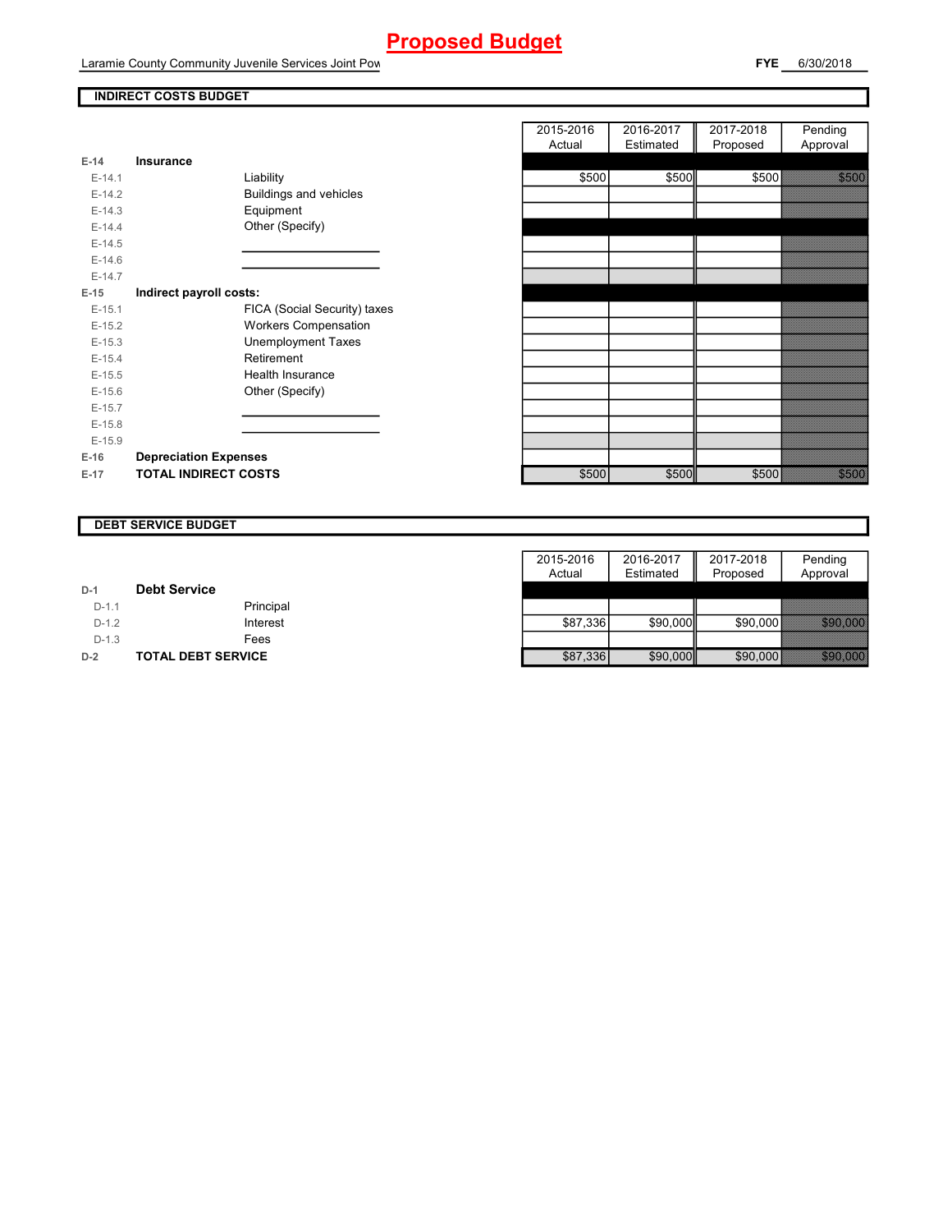Laramie County Community Juvenile Services Joint Pow

## **INDIRECT COSTS BUDGET**

| $F-14$   | Insurance                     |
|----------|-------------------------------|
| $F-14.1$ | Liability                     |
| $F-142$  | <b>Buildings and vehicles</b> |
| $E-14.3$ | Equipment                     |
| $E-14.4$ | Other (Specify)               |
| $E-14.5$ |                               |
| $F-146$  |                               |
| $F-147$  |                               |
| E-15     | Indirect payroll costs:       |
| $E-15.1$ | FICA (Social Security) taxes  |
| $E-15.2$ | <b>Workers Compensation</b>   |
| $E-15.3$ | Unemployment Taxes            |
| $E-15.4$ | Retirement                    |
| $F-15.5$ | Health Insurance              |
| $E-15.6$ | Other (Specify)               |
| $E-15.7$ |                               |
| $E-15.8$ |                               |
| $E-15.9$ |                               |
| $E-16$   | <b>Depreciation Expenses</b>  |
| $E-17$   | <b>TOTAL INDIRECT COSTS</b>   |

|          |                              | 2015-2016 | 2016-2017 | 2017-2018 | Pending                                                                                                                                                                                                                         |
|----------|------------------------------|-----------|-----------|-----------|---------------------------------------------------------------------------------------------------------------------------------------------------------------------------------------------------------------------------------|
|          |                              | Actual    | Estimated | Proposed  | Approval                                                                                                                                                                                                                        |
| $E-14$   | Insurance                    |           |           |           |                                                                                                                                                                                                                                 |
| $E-14.1$ | Liability                    | \$500     | \$500     | \$500     |                                                                                                                                                                                                                                 |
| $E-14.2$ | Buildings and vehicles       |           |           |           |                                                                                                                                                                                                                                 |
| $E-14.3$ | Equipment                    |           |           |           |                                                                                                                                                                                                                                 |
| $E-14.4$ | Other (Specify)              |           |           |           |                                                                                                                                                                                                                                 |
| $E-14.5$ |                              |           |           |           |                                                                                                                                                                                                                                 |
| $E-14.6$ |                              |           |           |           |                                                                                                                                                                                                                                 |
| $E-14.7$ |                              |           |           |           |                                                                                                                                                                                                                                 |
| $E-15$   | Indirect payroll costs:      |           |           |           |                                                                                                                                                                                                                                 |
| $E-15.1$ | FICA (Social Security) taxes |           |           |           |                                                                                                                                                                                                                                 |
| $E-15.2$ | <b>Workers Compensation</b>  |           |           |           |                                                                                                                                                                                                                                 |
| $E-15.3$ | <b>Unemployment Taxes</b>    |           |           |           |                                                                                                                                                                                                                                 |
| $E-15.4$ | Retirement                   |           |           |           |                                                                                                                                                                                                                                 |
| $E-15.5$ | <b>Health Insurance</b>      |           |           |           |                                                                                                                                                                                                                                 |
| $E-15.6$ | Other (Specify)              |           |           |           |                                                                                                                                                                                                                                 |
| $E-15.7$ |                              |           |           |           |                                                                                                                                                                                                                                 |
| $E-15.8$ |                              |           |           |           |                                                                                                                                                                                                                                 |
| $E-15.9$ |                              |           |           |           |                                                                                                                                                                                                                                 |
| $E-16$   | <b>Depreciation Expenses</b> |           |           |           |                                                                                                                                                                                                                                 |
| $E-17$   | <b>TOTAL INDIRECT COSTS</b>  | \$500     | \$500     | \$500     | en en de la familie de la familie de la familie de la familie de la familie de la familie de la familie de la<br>En la familie de la familie de la familie de la familie de la familie de la familie de la familie de la famili |
|          |                              |           |           |           |                                                                                                                                                                                                                                 |

#### **DEBT SERVICE BUDGET**

|         |                           | 2015-2016 | 2016-2017 | 2017-2018 | Pending             |
|---------|---------------------------|-----------|-----------|-----------|---------------------|
|         |                           | Actual    | Estimated | Proposed  | Approval            |
| $D-1$   | <b>Debt Service</b>       |           |           |           |                     |
| $D-1.1$ | Principal                 |           |           |           |                     |
| $D-1.2$ | Interest                  | \$87.336  | \$90,000  | \$90.000  | <b>1999.000.000</b> |
| $D-1.3$ | Fees                      |           |           |           |                     |
| $D-2$   | <b>TOTAL DEBT SERVICE</b> | \$87,336  | \$90,000  | \$90,000  | <u> Barangara</u>   |